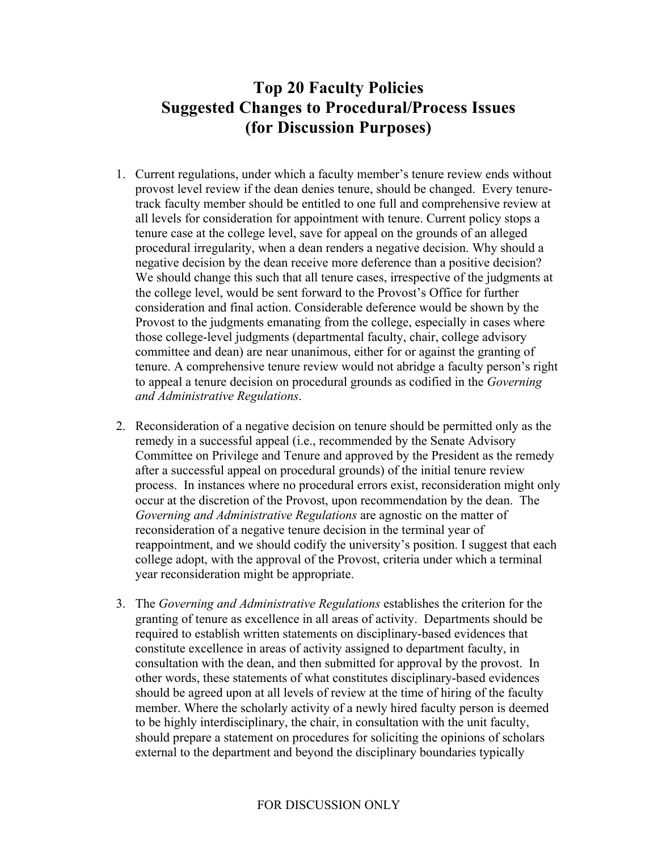## **Top 20 Faculty Policies Suggested Changes to Procedural/Process Issues (for Discussion Purposes)**

- 1. Current regulations, under which a faculty member's tenure review ends without provost level review if the dean denies tenure, should be changed. Every tenuretrack faculty member should be entitled to one full and comprehensive review at all levels for consideration for appointment with tenure. Current policy stops a tenure case at the college level, save for appeal on the grounds of an alleged procedural irregularity, when a dean renders a negative decision. Why should a negative decision by the dean receive more deference than a positive decision? We should change this such that all tenure cases, irrespective of the judgments at the college level, would be sent forward to the Provost's Office for further consideration and final action. Considerable deference would be shown by the Provost to the judgments emanating from the college, especially in cases where those college-level judgments (departmental faculty, chair, college advisory committee and dean) are near unanimous, either for or against the granting of tenure. A comprehensive tenure review would not abridge a faculty person's right to appeal a tenure decision on procedural grounds as codified in the *Governing and Administrative Regulations*.
- 2. Reconsideration of a negative decision on tenure should be permitted only as the remedy in a successful appeal (i.e., recommended by the Senate Advisory Committee on Privilege and Tenure and approved by the President as the remedy after a successful appeal on procedural grounds) of the initial tenure review process. In instances where no procedural errors exist, reconsideration might only occur at the discretion of the Provost, upon recommendation by the dean. The *Governing and Administrative Regulations* are agnostic on the matter of reconsideration of a negative tenure decision in the terminal year of reappointment, and we should codify the university's position. I suggest that each college adopt, with the approval of the Provost, criteria under which a terminal year reconsideration might be appropriate.
- 3. The *Governing and Administrative Regulations* establishes the criterion for the granting of tenure as excellence in all areas of activity. Departments should be required to establish written statements on disciplinary-based evidences that constitute excellence in areas of activity assigned to department faculty, in consultation with the dean, and then submitted for approval by the provost. In other words, these statements of what constitutes disciplinary-based evidences should be agreed upon at all levels of review at the time of hiring of the faculty member. Where the scholarly activity of a newly hired faculty person is deemed to be highly interdisciplinary, the chair, in consultation with the unit faculty, should prepare a statement on procedures for soliciting the opinions of scholars external to the department and beyond the disciplinary boundaries typically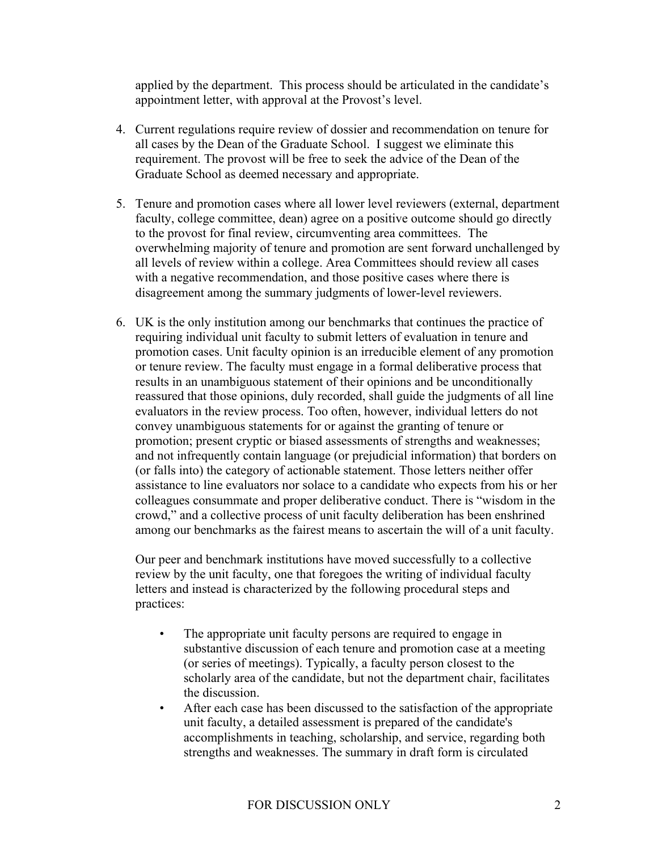applied by the department. This process should be articulated in the candidate's appointment letter, with approval at the Provost's level.

- 4. Current regulations require review of dossier and recommendation on tenure for all cases by the Dean of the Graduate School. I suggest we eliminate this requirement. The provost will be free to seek the advice of the Dean of the Graduate School as deemed necessary and appropriate.
- 5. Tenure and promotion cases where all lower level reviewers (external, department faculty, college committee, dean) agree on a positive outcome should go directly to the provost for final review, circumventing area committees. The overwhelming majority of tenure and promotion are sent forward unchallenged by all levels of review within a college. Area Committees should review all cases with a negative recommendation, and those positive cases where there is disagreement among the summary judgments of lower-level reviewers.
- 6. UK is the only institution among our benchmarks that continues the practice of requiring individual unit faculty to submit letters of evaluation in tenure and promotion cases. Unit faculty opinion is an irreducible element of any promotion or tenure review. The faculty must engage in a formal deliberative process that results in an unambiguous statement of their opinions and be unconditionally reassured that those opinions, duly recorded, shall guide the judgments of all line evaluators in the review process. Too often, however, individual letters do not convey unambiguous statements for or against the granting of tenure or promotion; present cryptic or biased assessments of strengths and weaknesses; and not infrequently contain language (or prejudicial information) that borders on (or falls into) the category of actionable statement. Those letters neither offer assistance to line evaluators nor solace to a candidate who expects from his or her colleagues consummate and proper deliberative conduct. There is "wisdom in the crowd," and a collective process of unit faculty deliberation has been enshrined among our benchmarks as the fairest means to ascertain the will of a unit faculty.

Our peer and benchmark institutions have moved successfully to a collective review by the unit faculty, one that foregoes the writing of individual faculty letters and instead is characterized by the following procedural steps and practices:

- The appropriate unit faculty persons are required to engage in substantive discussion of each tenure and promotion case at a meeting (or series of meetings). Typically, a faculty person closest to the scholarly area of the candidate, but not the department chair, facilitates the discussion.
- After each case has been discussed to the satisfaction of the appropriate unit faculty, a detailed assessment is prepared of the candidate's accomplishments in teaching, scholarship, and service, regarding both strengths and weaknesses. The summary in draft form is circulated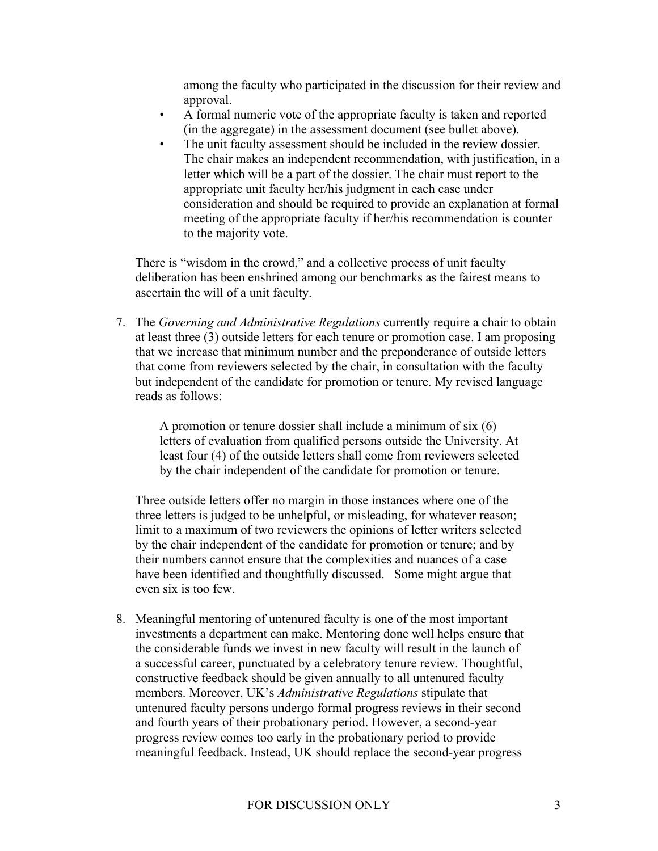among the faculty who participated in the discussion for their review and approval.

- A formal numeric vote of the appropriate faculty is taken and reported (in the aggregate) in the assessment document (see bullet above).
- The unit faculty assessment should be included in the review dossier. The chair makes an independent recommendation, with justification, in a letter which will be a part of the dossier. The chair must report to the appropriate unit faculty her/his judgment in each case under consideration and should be required to provide an explanation at formal meeting of the appropriate faculty if her/his recommendation is counter to the majority vote.

There is "wisdom in the crowd," and a collective process of unit faculty deliberation has been enshrined among our benchmarks as the fairest means to ascertain the will of a unit faculty.

7. The *Governing and Administrative Regulations* currently require a chair to obtain at least three (3) outside letters for each tenure or promotion case. I am proposing that we increase that minimum number and the preponderance of outside letters that come from reviewers selected by the chair, in consultation with the faculty but independent of the candidate for promotion or tenure. My revised language reads as follows:

A promotion or tenure dossier shall include a minimum of six (6) letters of evaluation from qualified persons outside the University. At least four (4) of the outside letters shall come from reviewers selected by the chair independent of the candidate for promotion or tenure.

Three outside letters offer no margin in those instances where one of the three letters is judged to be unhelpful, or misleading, for whatever reason; limit to a maximum of two reviewers the opinions of letter writers selected by the chair independent of the candidate for promotion or tenure; and by their numbers cannot ensure that the complexities and nuances of a case have been identified and thoughtfully discussed. Some might argue that even six is too few.

8. Meaningful mentoring of untenured faculty is one of the most important investments a department can make. Mentoring done well helps ensure that the considerable funds we invest in new faculty will result in the launch of a successful career, punctuated by a celebratory tenure review. Thoughtful, constructive feedback should be given annually to all untenured faculty members. Moreover, UK's *Administrative Regulations* stipulate that untenured faculty persons undergo formal progress reviews in their second and fourth years of their probationary period. However, a second-year progress review comes too early in the probationary period to provide meaningful feedback. Instead, UK should replace the second-year progress